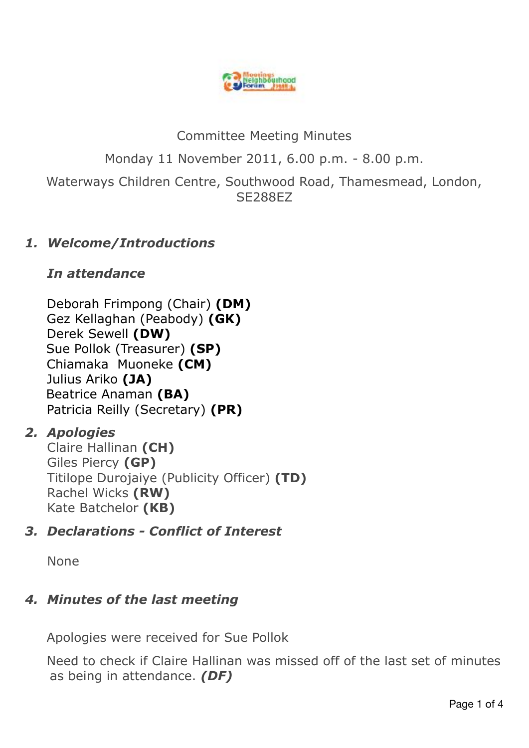

# Committee Meeting Minutes Monday 11 November 2011, 6.00 p.m. - 8.00 p.m. Waterways Children Centre, Southwood Road, Thamesmead, London, SE288EZ

## *1. Welcome/Introductions*

## *In attendance*

 Deborah Frimpong (Chair) **(DM)** Gez Kellaghan (Peabody) **(GK)** Derek Sewell **(DW)** Sue Pollok (Treasurer) **(SP)** Chiamaka Muoneke **(CM)**  Julius Ariko **(JA)** Beatrice Anaman **(BA)** Patricia Reilly (Secretary) **(PR)**

## *2. Apologies*

Claire Hallinan **(CH)**  Giles Piercy **(GP)**  Titilope Durojaiye (Publicity Officer) **(TD)**  Rachel Wicks **(RW)**  Kate Batchelor **(KB)** 

## *3. Declarations - Conflict of Interest*

None

# *4. Minutes of the last meeting*

Apologies were received for Sue Pollok

 Need to check if Claire Hallinan was missed off of the last set of minutes as being in attendance. *(DF)*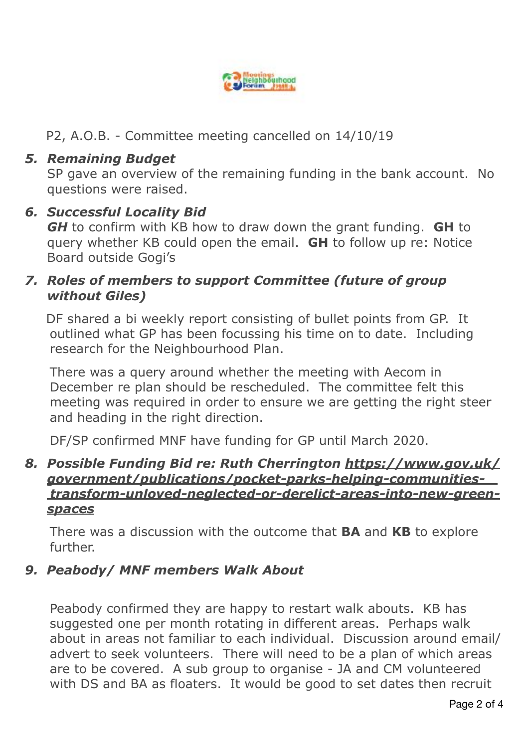

P2, A.O.B. - Committee meeting cancelled on 14/10/19

## *5. Remaining Budget*

SP gave an overview of the remaining funding in the bank account. No questions were raised.

### *6. Successful Locality Bid*

*GH* to confirm with KB how to draw down the grant funding. **GH** to query whether KB could open the email. **GH** to follow up re: Notice Board outside Gogi's

## *7. Roles of members to support Committee (future of group without Giles)*

DF shared a bi weekly report consisting of bullet points from GP. It outlined what GP has been focussing his time on to date. Including research for the Neighbourhood Plan.

 There was a query around whether the meeting with Aecom in December re plan should be rescheduled. The committee felt this meeting was required in order to ensure we are getting the right steer and heading in the right direction.

DF/SP confirmed MNF have funding for GP until March 2020.

#### *8. Possible Funding Bid re: Ruth Cherrington [https://www.gov.uk/](https://www.gov.uk/government/publications/pocket-parks-helping-communities-transform-unloved-neglected-or-derelict-areas-into-new-green-spaces) [government/publications/pocket-parks-helping-communities](https://www.gov.uk/government/publications/pocket-parks-helping-communities-transform-unloved-neglected-or-derelict-areas-into-new-green-spaces)   [transform-unloved-neglected-or-derelict-areas-into-new-green](https://www.gov.uk/government/publications/pocket-parks-helping-communities-transform-unloved-neglected-or-derelict-areas-into-new-green-spaces)[spaces](https://www.gov.uk/government/publications/pocket-parks-helping-communities-transform-unloved-neglected-or-derelict-areas-into-new-green-spaces)*

There was a discussion with the outcome that **BA** and **KB** to explore further.

## *9. Peabody/ MNF members Walk About*

Peabody confirmed they are happy to restart walk abouts. KB has suggested one per month rotating in different areas. Perhaps walk about in areas not familiar to each individual. Discussion around email/ advert to seek volunteers. There will need to be a plan of which areas are to be covered. A sub group to organise - JA and CM volunteered with DS and BA as floaters.It would be good to set dates then recruit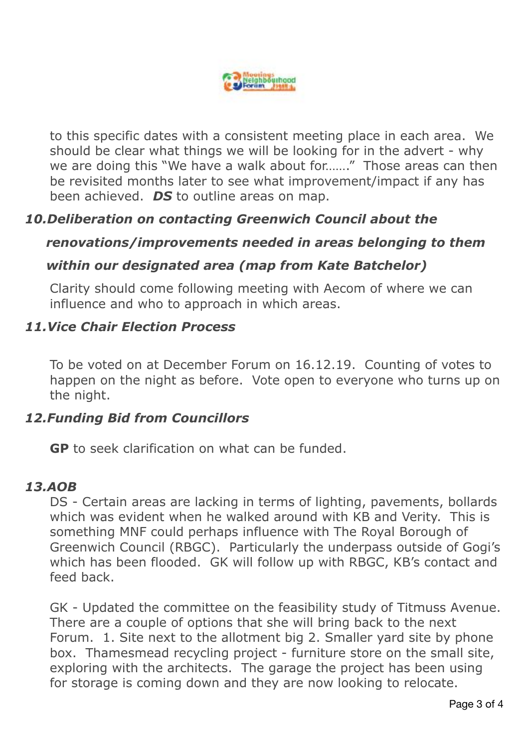

 to this specific dates with a consistent meeting place in each area. We should be clear what things we will be looking for in the advert - why we are doing this "We have a walk about for......." Those areas can then be revisited months later to see what improvement/impact if any has been achieved. *DS* to outline areas on map.

## *10.Deliberation on contacting Greenwich Council about the*

### *renovations/improvements needed in areas belonging to them*

### *within our designated area (map from Kate Batchelor)*

Clarity should come following meeting with Aecom of where we can influence and who to approach in which areas.

#### *11.Vice Chair Election Process*

To be voted on at December Forum on 16.12.19. Counting of votes to happen on the night as before. Vote open to everyone who turns up on the night.

#### *12.Funding Bid from Councillors*

**GP** to seek clarification on what can be funded.

#### *13.AOB*

 DS - Certain areas are lacking in terms of lighting, pavements, bollards which was evident when he walked around with KB and Verity. This is something MNF could perhaps influence with The Royal Borough of Greenwich Council (RBGC). Particularly the underpass outside of Gogi's which has been flooded. GK will follow up with RBGC, KB's contact and feed back.

 GK - Updated the committee on the feasibility study of Titmuss Avenue. There are a couple of options that she will bring back to the next Forum. 1. Site next to the allotment big 2. Smaller yard site by phone box. Thamesmead recycling project - furniture store on the small site, exploring with the architects. The garage the project has been using for storage is coming down and they are now looking to relocate.